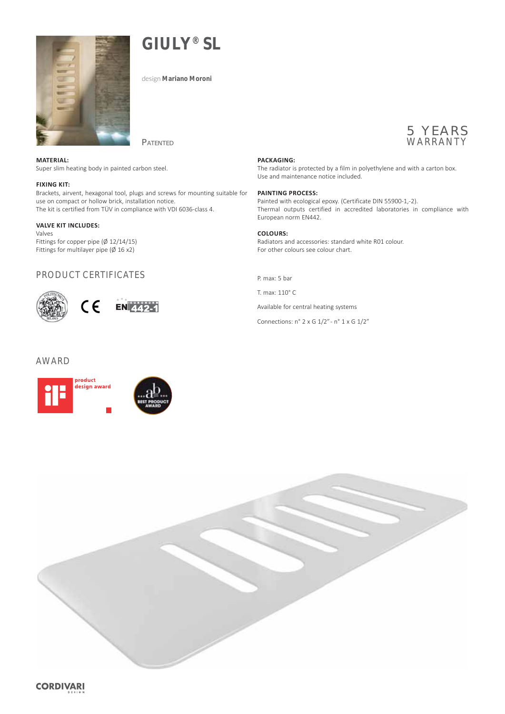

**GIULY® SL**

design **Mariano Moroni**



## **MATERIAL:**

Super slim heating body in painted carbon steel.

### **FIXING KIT:**

Brackets, airvent, hexagonal tool, plugs and screws for mounting suitable for use on compact or hollow brick, installation notice. The kit is certified from TÜV in compliance with VDI 6036-class 4.

**PATENTED** 

#### **VALVE KIT INCLUDES:**

Valves Fittings for copper pipe (Ø 12/14/15) Fittings for multilayer pipe  $(\emptyset 16 x2)$ 

## PRODUCT CERTIFICATES



## AWARD



## **PACKAGING:**

The radiator is protected by a film in polyethylene and with a carton box. Use and maintenance notice included.

## **PAINTING PROCESS:**

Painted with ecological epoxy. (Certificate DIN 55900-1,-2). Thermal outputs certified in accredited laboratories in compliance with European norm EN442.

## **COLOURS:**

Radiators and accessories: standard white R01 colour. For other colours see colour chart.

P. max: 5 bar

T. max: 110° C

Available for central heating systems

Connections: n° 2 x G 1/2" - n° 1 x G 1/2"